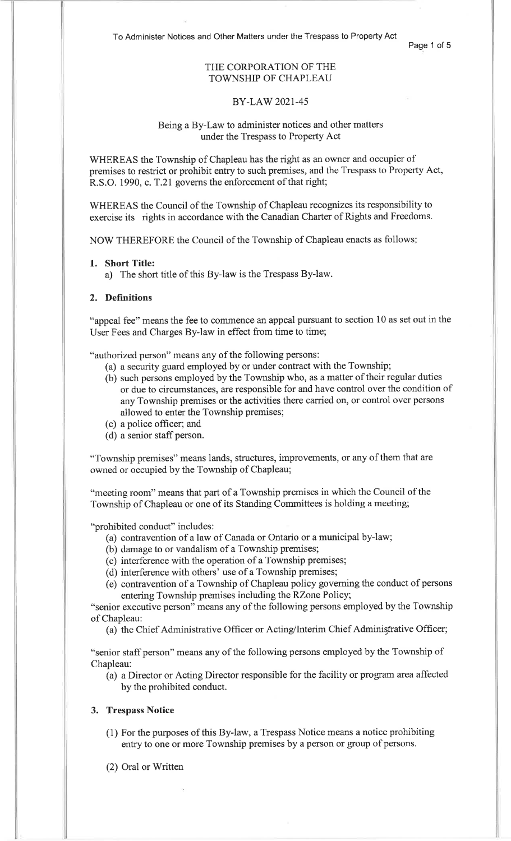To Administer Notices and Other Matters under the Trespass to Property Act

Page 1 of 5

# THE CORPORATION OF THETOWNSHIP OF CHAPLEAU

### BY-LAW 2021-45

# Being a By-Law to administer notices and other mattersunder the Trespass to Property Act

WHEREAS the Township of Chapleau has the right as an owner and occupier of premises to restrict or prohibit entry to such premises, and the Trespass to Property Act, R.S.O. 1990, c. T.21 governs the enforcement of that right;

WHEREAS the Council of the Township of Chapleau recognizes its responsibility toexercise its rights in accordance with the Canadian Charter of Rights and Freedoms.

NOW THEREFORE the Council of the Township of Chapleau enacts as follows

### 1. Short Title:

a) The short title of this By-law is the Trespass By-law.

### 2. Definitions

"appeal fee" means the fee to commence an appeal pursuant to section 10 as set out in theUser Fees and Charges By-law in effect from time to time;

"authorized person" means any of the following persons:

- (a) a security guard employed by or under contract with the Township;
- (b) such persons employed by the Township who, as a matter of their regular duties or due to circumstances, are responsible for and have control over the condition ofany Township premises or the activities there carried on, or control over personsallowed to enter the Township premises;
- (c) a police officer; and
- (d) a senior staff person.

"Township premises" means lands, structures, improvements, or any of them that areowned or occupied by the Township of Chapleau;

"meeting room" means that part of a Township premises in which the Council of theTownship of Chapleau or one of its Standing Committees is holding a meeting;

"prohibited conduct" includes:

- (a) contravention of a law of Canada or Ontario or a municipal by-law;
- (b) damage to or vandalism of a Township premises;
- (c) interference with the operation of a Township premises;
- (d) interference with others' use of a Township premises;
- (e) contravention of a Township of Chapleau policy governing the conduct of personsentering Township premises including the RZone Policy;

"senior executive person" means any of the following persons employed by the Townshipof Chapleau:

(a) the Chief Administrative Officer or Acting/Interim Chief Administrative Officer;

"senior staff person" means any of the following persons employed by the Township ofChapleau:

 (a) a Director or Acting Director responsible for the facility or program area affectedby the prohibited conduct.

# 3. Trespass Notice

- (1) For the purposes of this By-law, a Trespass Notice means a notice prohibitingentry to one or more Township premises by a person or group of persons.
- (2) Oral or Written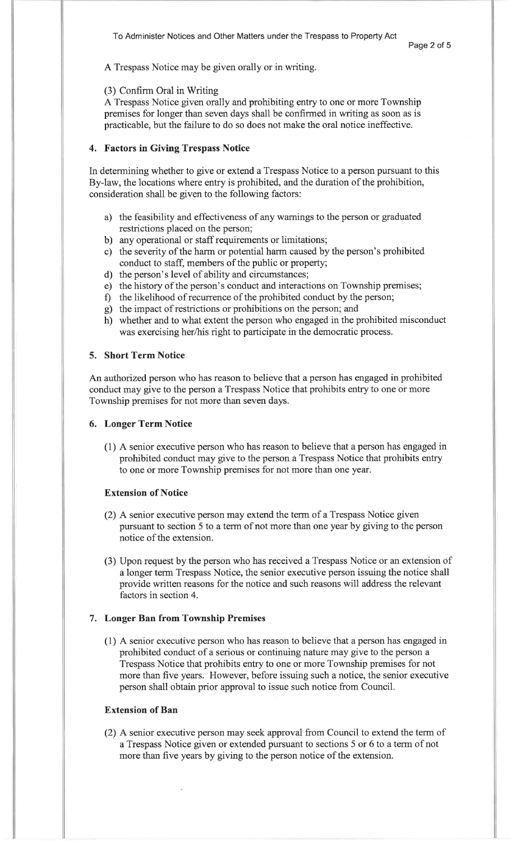A Trespass Notice may be given orally or in writing.

### (3) Confirm Oral in Writing

 A Trespass Notice given orally and prohibiting entry to one or more Township premises for longer than seven days shall be confirmed in writing as soon as ispracticable, but the failure to do so does not make the oral notice ineffective.

# 4. Factors in Giving Trespass Notice

In determining whether to give or extend a Trespass Notice to a person pursuant to thisBy-law, the locations where entry is prohibited, and the duration of the prohibition, consideration shall be given to the following factors:

- a) the feasibility and effectiveness of any warnings to the person or graduatedrestrictions placed on the person;
- b) any operational or staff requirements or limitations;
- c) the severity of the harm or potential harm caused by the person's prohibited conduct to staff, members of the public or property;
- 
- d) the person's level of ability and circumstances; e) the history of the person's conduct and interactions on Township premises;
- <sup>0</sup>the likelihood of recurrence of the prohibited conduct by the person; g) the impact of restrictions or prohibitions on the person; and
- 
- h) whether and to what extent the person who engaged in the prohibited misconduct was exercising her/his right to participate in the democratic process.

#### 5. Short Term Notice

An authorized person who has reason to believe that a person has engaged in prohibited conduct may give to the person a Trespass Notice that prohibits entry to one or moreTownship premises for not more than seven days.

## 6. Longer Term Notice

(1) A senior executive person who has reason to believe that aperson has engaged in prohibited conduct may give to the person a Trespass Notice that prohibits entryto one or more Township premises for not more than one year.

### Extension of Notice

- (2) A senior executive person may extend the term of a Trespass Notice given pursuant to section 5 to a term of not more than one year by giving to the personnotice of the extension.
- (3) Upon request by the person who has received a Trespass Notice or an extension of <sup>a</sup>longer term Trespass Notice, the senior executive person issuing the notice shall provide written reasons for the notice and such reasons will address the relevantfactors in section 4.

## 7. Longer Ban from Township Premises

(1) A senior executive person who has reason to believe that a person has engaged inprohibited conduct of a serious or continuing nature may give to the person a Trespass Notice that prohibits entry to one or more Township premises for not more than five years. However, before issuing such a notice, the senior executiveperson shall obtain prior approval to issue such notice from Council.

### Extension of Ban

(2) A senior executive person may seek approval from Council to extend the term ofa Trespass Notice given or extended pursuant to sections 5 or 6 to a term of notmore than five years by giving to the person notice of the extension.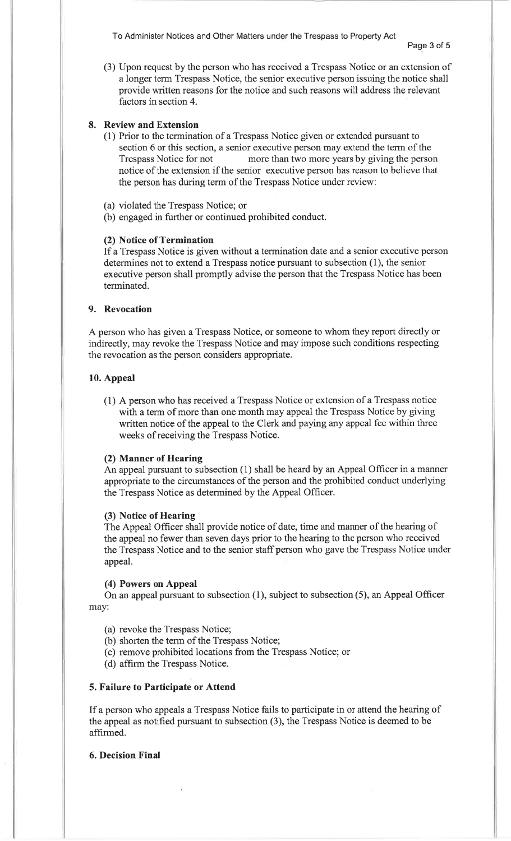To Administer Notices and Other Matters under the Trespass to Property Act

Page 3 of 5

(3) Upon request by the person who has received a Trespass Notice or an extension of a longer term Trespass Notice, the senior executive person issuing the notice shallprovide written reasons for the notice and such reasons will address the relevantfactors in section 4.

# 8. Review and Extension

- (1) Prior to the termination of a Trespass Notice given or extended pursuant to section 6 or this section, a senior executive person may extend the term of the Trespass Notice for not more than two more years by giving the person notice of the extension if the senior executive person has reason to believe thatthe person has during term of the Trespass Notice under review:
- (a) violated the Trespass Notice; or
- (b) engaged in further or continued prohibited conduct.

# (2) Notice of Termination

 If a Trespass Notice is given without a termination date and a senior executive persondetermines not to extend a Trespass notice pursuant to subsection (1), the senior executive person shall promptly advise the person that the Trespass Notice has beenterminated.

## 9. Revocation

A person who has given a Trespass Notice, or someone to whom they report directly or indirectly, may revoke the Trespass Notice and may impose such conditions respectingthe revocation as the person considers appropriate.

#### 10. Appeal

(1) A person who has received a Trespass Notice or extension of a Trespass nofice with a term of more than one month may appeal the Trespass Notice by giving written notice of the appeal to the Clerk and paying any appeal fee within threeweeks of receiving the Trespass Notice.

## (2) Manner of Hearing

 An appeal pursuant to subsection (1) shall be heard by an Appeal Officer in a manner appropriate to the circumstances of the person and the prohibited conduct underlyingthe Trespass Notice as determined by the Appeal Officer.

#### (3) Notice of Hearing

 The Appeal Officer shall provide notice of date, time and manner of the hearing of the appeal no fewer than seven days prior to the hearing to the person who received the Trespass Notice and to the senior staff person who gave the Trespass Notice underappeal.

#### (4) Powers on Appeal

 On an appeal pursuant to subsection (1), subject to subsection (5), an Appeal Officermay:

- (a) revoke the Trespass Notice;
- (b) shorten the term of the Trespass Notice;
- (c) remove prohibited locations from the Trespass Notice; or
- (d) affirm the Trespass Notice.

#### 5. Failure to Participate or Attend

If a person who appeals a Trespass Notice fails to participate in or attend the hearing ofthe appeal as notified pursuant to subsection (3), the Trespass Notice is deemed to beaffirmed.

# 6. Decision Final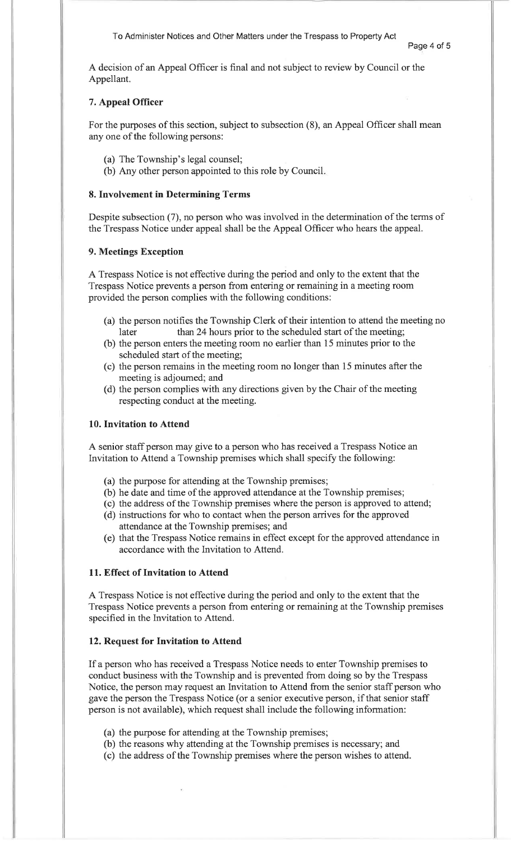A decision of an Appeal Officer is final and not subject to review by Council or theAppellant.

# 7. Appeal Officer

For the purposes of this section, subject to subsection (8), an Appeal Officer shall meanany one of the following persons:

- (a) The Township's legal counsel;
- (b) Any other person appointed to this role by Council

# 8. Involvement in Determining Terms

Despite subsection (7), no person who was involved in the determination of the terms ofthe Trespass Notice under appeal shall be the Appeal Officer who hears the appeal.

#### 9. Meetings Exception

A Trespass Notice is not effective during the period and only to the extent that the Trespass Notice prevents a person from entering or remaining in a meeting roomprovided the person complies with the following conditions:

- (a) the person notifies the Township Clerk of their intention to attend the meeting nolater than 24 hours prior to the scheduled start of the meeting;
- (b) the person enters the meeting room no earlier than 15 minutes prior to thescheduled start of the meeting;
- (c) the person remains in the meeting room no longer than 15 minutes after themeeting is adjoumed; and
- (d) the person complies with any directions given by the Chair of the meeting respecting conduct at the meeting.

# 10. Invitation to Attend

A senior staff person may give to a person who has received a Trespass Notice anInvitation to Attend a Township premises which shall specify the following:

- (a) the purpose for attending at the Township premises;
- (b) he date and time of the approved attendance at the Township premises;
- (c) the address of the Township premises where the person is approved to attend;
- (d) instructions for who to contact when the person arrives for the approvedattendance at the Township premises; and
- (e) that the Trespass Notice remains in effect except for the approved attendance inaccordance with the Invitation to Attend.

# 11. Effect of Invitation to Attend

A Trespass Notice is not effective during the period and only to the extent that the Trespass Notice prevents a person from entering or remaining at the Township premisesspecified in the Invitation to Attend.

#### 12. Request for Invitation to Attend

If a person who has received a Trespass Notice needs to enter Township premises to conduct business with the Township and is prevented from doing so by the Trespass Notice, the person may request an Invitation to Attend from the senior staff person whogave the person the Trespass Notice (or a senior executive person, if that senior staffperson is not available), which request shall include the following information:

- (a) the purpose for attending at the Township premises;
- (b) the reasons why attending at the Township premises is necessary; and
- (c) the address of the Township premises where the person wishes to attend.